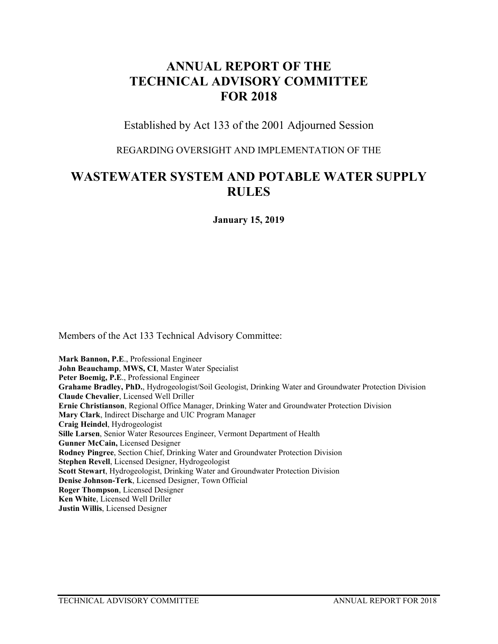# **ANNUAL REPORT OF THE TECHNICAL ADVISORY COMMITTEE FOR 2018**

Established by Act 133 of the 2001 Adjourned Session

REGARDING OVERSIGHT AND IMPLEMENTATION OF THE

# **WASTEWATER SYSTEM AND POTABLE WATER SUPPLY RULES**

**January 15, 2019**

Members of the Act 133 Technical Advisory Committee:

**Mark Bannon, P.E**., Professional Engineer **John Beauchamp**, **MWS, CI**, Master Water Specialist **Peter Boemig, P.E**., Professional Engineer **Grahame Bradley, PhD.**, Hydrogeologist/Soil Geologist, Drinking Water and Groundwater Protection Division **Claude Chevalier**, Licensed Well Driller **Ernie Christianson**, Regional Office Manager, Drinking Water and Groundwater Protection Division **Mary Clark**, Indirect Discharge and UIC Program Manager **Craig Heindel**, Hydrogeologist **Sille Larsen**, Senior Water Resources Engineer, Vermont Department of Health **Gunner McCain,** Licensed Designer **Rodney Pingree**, Section Chief, Drinking Water and Groundwater Protection Division **Stephen Revell**, Licensed Designer, Hydrogeologist **Scott Stewart**, Hydrogeologist, Drinking Water and Groundwater Protection Division **Denise Johnson-Terk**, Licensed Designer, Town Official **Roger Thompson**, Licensed Designer **Ken White**, Licensed Well Driller **Justin Willis**, Licensed Designer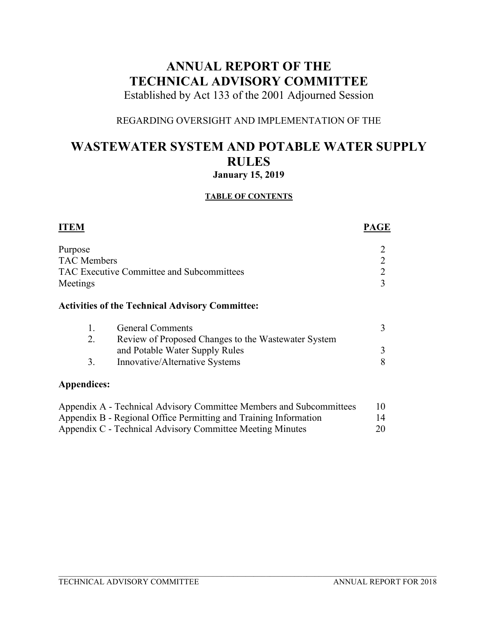# **ANNUAL REPORT OF THE TECHNICAL ADVISORY COMMITTEE**

Established by Act 133 of the 2001 Adjourned Session

# REGARDING OVERSIGHT AND IMPLEMENTATION OF THE

# **WASTEWATER SYSTEM AND POTABLE WATER SUPPLY RULES January 15, 2019**

# **TABLE OF CONTENTS**

| <b>ITEM</b>        |                                                                     | <b>PAGE</b> |
|--------------------|---------------------------------------------------------------------|-------------|
| Purpose            |                                                                     |             |
| <b>TAC</b> Members |                                                                     |             |
|                    | TAC Executive Committee and Subcommittees                           | 2           |
| Meetings           |                                                                     | 3           |
|                    | <b>Activities of the Technical Advisory Committee:</b>              |             |
| 1.                 | <b>General Comments</b>                                             | 3           |
| 2.                 | Review of Proposed Changes to the Wastewater System                 |             |
|                    | and Potable Water Supply Rules                                      | 3           |
| 3.                 | Innovative/Alternative Systems                                      | 8           |
| Appendices:        |                                                                     |             |
|                    | Appendix A - Technical Advisory Committee Members and Subcommittees | 10          |
|                    | Appendix B - Regional Office Permitting and Training Information    | 14          |

Appendix C - Technical Advisory Committee Meeting Minutes 20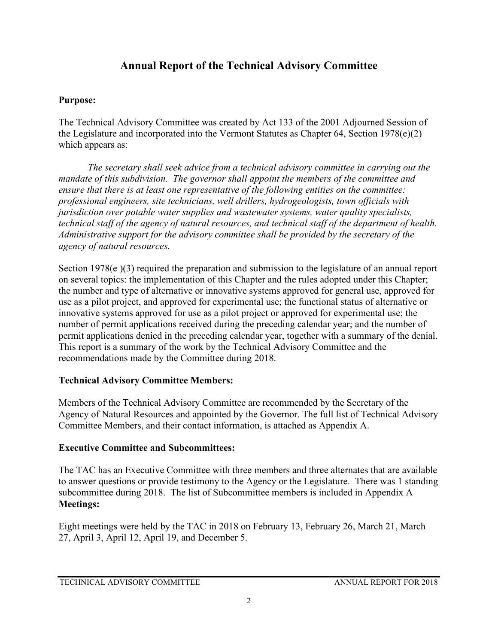# **Annual Report of the Technical Advisory Committee**

# **Purpose:**

The Technical Advisory Committee was created by Act 133 of the 2001 Adjourned Session of the Legislature and incorporated into the Vermont Statutes as Chapter 64, Section 1978(e)(2) which appears as:

*The secretary shall seek advice from a technical advisory committee in carrying out the mandate of this subdivision. The governor shall appoint the members of the committee and ensure that there is at least one representative of the following entities on the committee: professional engineers, site technicians, well drillers, hydrogeologists, town officials with jurisdiction over potable water supplies and wastewater systems, water quality specialists, technical staff of the agency of natural resources, and technical staff of the department of health. Administrative support for the advisory committee shall be provided by the secretary of the agency of natural resources.* 

Section 1978(e)(3) required the preparation and submission to the legislature of an annual report on several topics: the implementation of this Chapter and the rules adopted under this Chapter; the number and type of alternative or innovative systems approved for general use, approved for use as a pilot project, and approved for experimental use; the functional status of alternative or innovative systems approved for use as a pilot project or approved for experimental use; the number of permit applications received during the preceding calendar year; and the number of permit applications denied in the preceding calendar year, together with a summary of the denial. This report is a summary of the work by the Technical Advisory Committee and the recommendations made by the Committee during 2018.

# **Technical Advisory Committee Members:**

Members of the Technical Advisory Committee are recommended by the Secretary of the Agency of Natural Resources and appointed by the Governor. The full list of Technical Advisory Committee Members, and their contact information, is attached as Appendix A.

# **Executive Committee and Subcommittees:**

The TAC has an Executive Committee with three members and three alternates that are available to answer questions or provide testimony to the Agency or the Legislature. There was 1 standing subcommittee during 2018. The list of Subcommittee members is included in Appendix A **Meetings:**

Eight meetings were held by the TAC in 2018 on February 13, February 26, March 21, March 27, April 3, April 12, April 19, and December 5.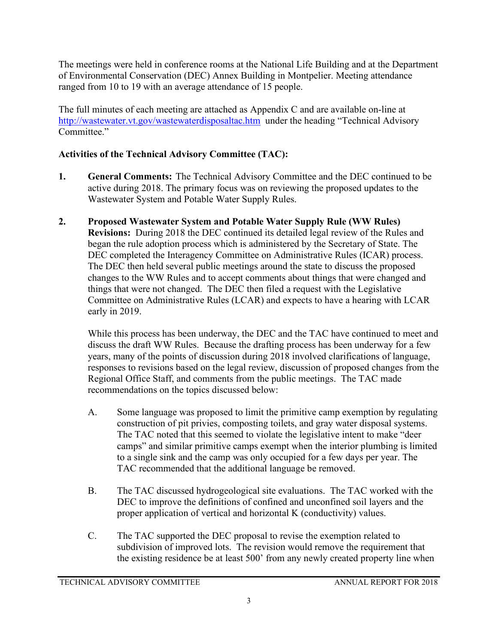The meetings were held in conference rooms at the National Life Building and at the Department of Environmental Conservation (DEC) Annex Building in Montpelier. Meeting attendance ranged from 10 to 19 with an average attendance of 15 people.

The full minutes of each meeting are attached as Appendix C and are available on-line at <http://wastewater.vt.gov/wastewaterdisposaltac.htm> under the heading "Technical Advisory Committee."

# **Activities of the Technical Advisory Committee (TAC):**

- **1. General Comments:** The Technical Advisory Committee and the DEC continued to be active during 2018. The primary focus was on reviewing the proposed updates to the Wastewater System and Potable Water Supply Rules.
- **2. Proposed Wastewater System and Potable Water Supply Rule (WW Rules) Revisions:** During 2018 the DEC continued its detailed legal review of the Rules and began the rule adoption process which is administered by the Secretary of State. The DEC completed the Interagency Committee on Administrative Rules (ICAR) process. The DEC then held several public meetings around the state to discuss the proposed changes to the WW Rules and to accept comments about things that were changed and things that were not changed. The DEC then filed a request with the Legislative Committee on Administrative Rules (LCAR) and expects to have a hearing with LCAR early in 2019.

While this process has been underway, the DEC and the TAC have continued to meet and discuss the draft WW Rules. Because the drafting process has been underway for a few years, many of the points of discussion during 2018 involved clarifications of language, responses to revisions based on the legal review, discussion of proposed changes from the Regional Office Staff, and comments from the public meetings. The TAC made recommendations on the topics discussed below:

- A. Some language was proposed to limit the primitive camp exemption by regulating construction of pit privies, composting toilets, and gray water disposal systems. The TAC noted that this seemed to violate the legislative intent to make "deer camps" and similar primitive camps exempt when the interior plumbing is limited to a single sink and the camp was only occupied for a few days per year. The TAC recommended that the additional language be removed.
- B. The TAC discussed hydrogeological site evaluations. The TAC worked with the DEC to improve the definitions of confined and unconfined soil layers and the proper application of vertical and horizontal K (conductivity) values.
- C. The TAC supported the DEC proposal to revise the exemption related to subdivision of improved lots. The revision would remove the requirement that the existing residence be at least 500' from any newly created property line when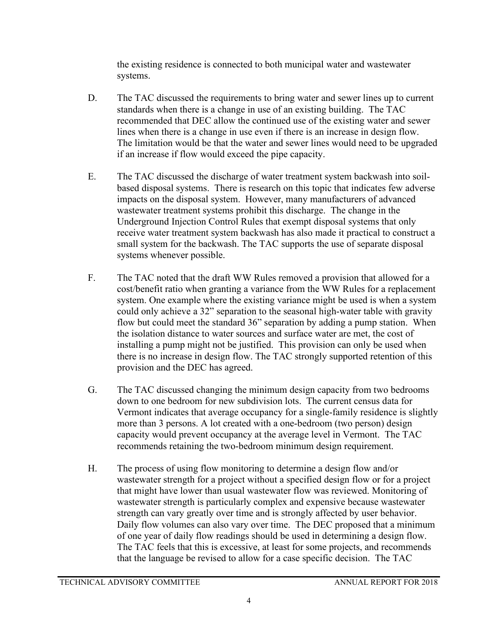the existing residence is connected to both municipal water and wastewater systems.

- D. The TAC discussed the requirements to bring water and sewer lines up to current standards when there is a change in use of an existing building. The TAC recommended that DEC allow the continued use of the existing water and sewer lines when there is a change in use even if there is an increase in design flow. The limitation would be that the water and sewer lines would need to be upgraded if an increase if flow would exceed the pipe capacity.
- E. The TAC discussed the discharge of water treatment system backwash into soilbased disposal systems. There is research on this topic that indicates few adverse impacts on the disposal system. However, many manufacturers of advanced wastewater treatment systems prohibit this discharge. The change in the Underground Injection Control Rules that exempt disposal systems that only receive water treatment system backwash has also made it practical to construct a small system for the backwash. The TAC supports the use of separate disposal systems whenever possible.
- F. The TAC noted that the draft WW Rules removed a provision that allowed for a cost/benefit ratio when granting a variance from the WW Rules for a replacement system. One example where the existing variance might be used is when a system could only achieve a 32" separation to the seasonal high-water table with gravity flow but could meet the standard 36" separation by adding a pump station. When the isolation distance to water sources and surface water are met, the cost of installing a pump might not be justified. This provision can only be used when there is no increase in design flow. The TAC strongly supported retention of this provision and the DEC has agreed.
- G. The TAC discussed changing the minimum design capacity from two bedrooms down to one bedroom for new subdivision lots. The current census data for Vermont indicates that average occupancy for a single-family residence is slightly more than 3 persons. A lot created with a one-bedroom (two person) design capacity would prevent occupancy at the average level in Vermont. The TAC recommends retaining the two-bedroom minimum design requirement.
- H. The process of using flow monitoring to determine a design flow and/or wastewater strength for a project without a specified design flow or for a project that might have lower than usual wastewater flow was reviewed. Monitoring of wastewater strength is particularly complex and expensive because wastewater strength can vary greatly over time and is strongly affected by user behavior. Daily flow volumes can also vary over time. The DEC proposed that a minimum of one year of daily flow readings should be used in determining a design flow. The TAC feels that this is excessive, at least for some projects, and recommends that the language be revised to allow for a case specific decision. The TAC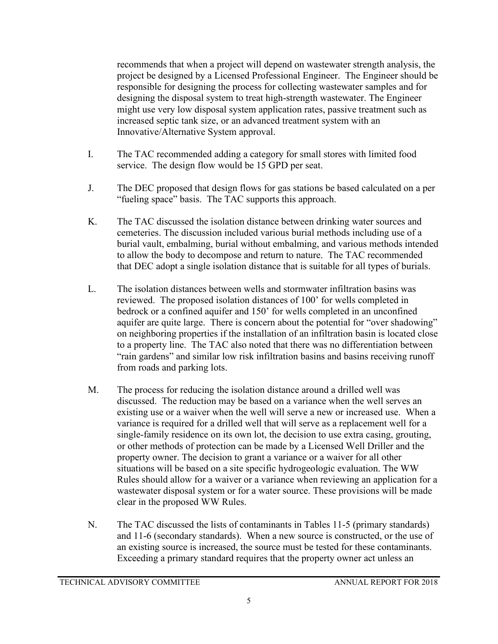recommends that when a project will depend on wastewater strength analysis, the project be designed by a Licensed Professional Engineer. The Engineer should be responsible for designing the process for collecting wastewater samples and for designing the disposal system to treat high-strength wastewater. The Engineer might use very low disposal system application rates, passive treatment such as increased septic tank size, or an advanced treatment system with an Innovative/Alternative System approval.

- I. The TAC recommended adding a category for small stores with limited food service. The design flow would be 15 GPD per seat.
- J. The DEC proposed that design flows for gas stations be based calculated on a per "fueling space" basis. The TAC supports this approach.
- K. The TAC discussed the isolation distance between drinking water sources and cemeteries. The discussion included various burial methods including use of a burial vault, embalming, burial without embalming, and various methods intended to allow the body to decompose and return to nature. The TAC recommended that DEC adopt a single isolation distance that is suitable for all types of burials.
- L. The isolation distances between wells and stormwater infiltration basins was reviewed. The proposed isolation distances of 100' for wells completed in bedrock or a confined aquifer and 150' for wells completed in an unconfined aquifer are quite large. There is concern about the potential for "over shadowing" on neighboring properties if the installation of an infiltration basin is located close to a property line. The TAC also noted that there was no differentiation between "rain gardens" and similar low risk infiltration basins and basins receiving runoff from roads and parking lots.
- M. The process for reducing the isolation distance around a drilled well was discussed. The reduction may be based on a variance when the well serves an existing use or a waiver when the well will serve a new or increased use. When a variance is required for a drilled well that will serve as a replacement well for a single-family residence on its own lot, the decision to use extra casing, grouting, or other methods of protection can be made by a Licensed Well Driller and the property owner. The decision to grant a variance or a waiver for all other situations will be based on a site specific hydrogeologic evaluation. The WW Rules should allow for a waiver or a variance when reviewing an application for a wastewater disposal system or for a water source. These provisions will be made clear in the proposed WW Rules.
- N. The TAC discussed the lists of contaminants in Tables 11-5 (primary standards) and 11-6 (secondary standards). When a new source is constructed, or the use of an existing source is increased, the source must be tested for these contaminants. Exceeding a primary standard requires that the property owner act unless an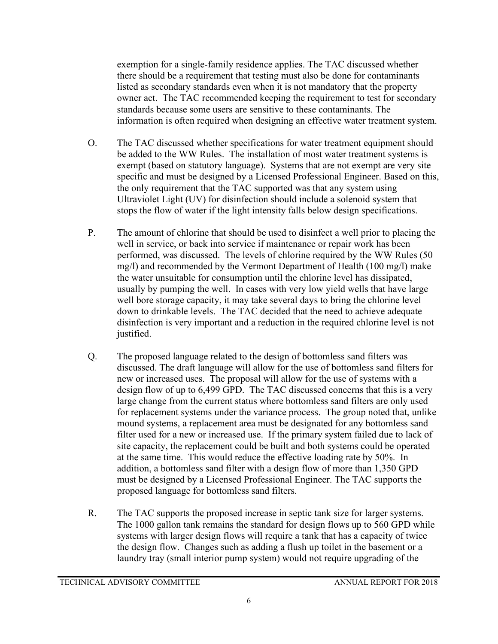exemption for a single-family residence applies. The TAC discussed whether there should be a requirement that testing must also be done for contaminants listed as secondary standards even when it is not mandatory that the property owner act. The TAC recommended keeping the requirement to test for secondary standards because some users are sensitive to these contaminants. The information is often required when designing an effective water treatment system.

- O. The TAC discussed whether specifications for water treatment equipment should be added to the WW Rules. The installation of most water treatment systems is exempt (based on statutory language). Systems that are not exempt are very site specific and must be designed by a Licensed Professional Engineer. Based on this, the only requirement that the TAC supported was that any system using Ultraviolet Light (UV) for disinfection should include a solenoid system that stops the flow of water if the light intensity falls below design specifications.
- P. The amount of chlorine that should be used to disinfect a well prior to placing the well in service, or back into service if maintenance or repair work has been performed, was discussed. The levels of chlorine required by the WW Rules (50 mg/l) and recommended by the Vermont Department of Health (100 mg/l) make the water unsuitable for consumption until the chlorine level has dissipated, usually by pumping the well. In cases with very low yield wells that have large well bore storage capacity, it may take several days to bring the chlorine level down to drinkable levels. The TAC decided that the need to achieve adequate disinfection is very important and a reduction in the required chlorine level is not justified.
- Q. The proposed language related to the design of bottomless sand filters was discussed. The draft language will allow for the use of bottomless sand filters for new or increased uses. The proposal will allow for the use of systems with a design flow of up to 6,499 GPD. The TAC discussed concerns that this is a very large change from the current status where bottomless sand filters are only used for replacement systems under the variance process. The group noted that, unlike mound systems, a replacement area must be designated for any bottomless sand filter used for a new or increased use. If the primary system failed due to lack of site capacity, the replacement could be built and both systems could be operated at the same time. This would reduce the effective loading rate by 50%. In addition, a bottomless sand filter with a design flow of more than 1,350 GPD must be designed by a Licensed Professional Engineer. The TAC supports the proposed language for bottomless sand filters.
- R. The TAC supports the proposed increase in septic tank size for larger systems. The 1000 gallon tank remains the standard for design flows up to 560 GPD while systems with larger design flows will require a tank that has a capacity of twice the design flow. Changes such as adding a flush up toilet in the basement or a laundry tray (small interior pump system) would not require upgrading of the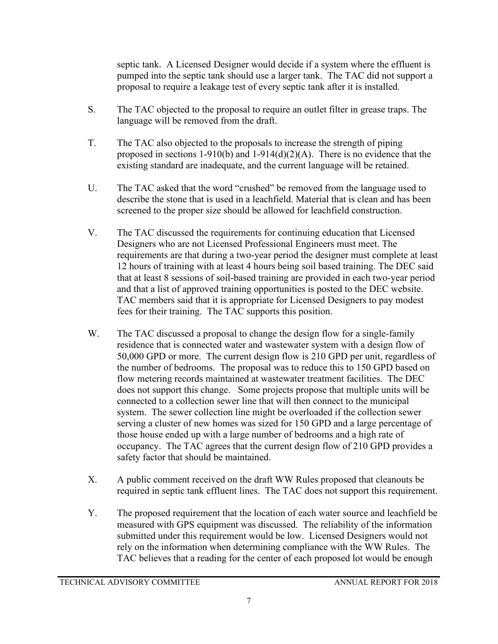septic tank. A Licensed Designer would decide if a system where the effluent is pumped into the septic tank should use a larger tank. The TAC did not support a proposal to require a leakage test of every septic tank after it is installed.

- S. The TAC objected to the proposal to require an outlet filter in grease traps. The language will be removed from the draft.
- T. The TAC also objected to the proposals to increase the strength of piping proposed in sections 1-910(b) and 1-914(d)(2)(A). There is no evidence that the existing standard are inadequate, and the current language will be retained.
- U. The TAC asked that the word "crushed" be removed from the language used to describe the stone that is used in a leachfield. Material that is clean and has been screened to the proper size should be allowed for leachfield construction.
- V. The TAC discussed the requirements for continuing education that Licensed Designers who are not Licensed Professional Engineers must meet. The requirements are that during a two-year period the designer must complete at least 12 hours of training with at least 4 hours being soil based training. The DEC said that at least 8 sessions of soil-based training are provided in each two-year period and that a list of approved training opportunities is posted to the DEC website. TAC members said that it is appropriate for Licensed Designers to pay modest fees for their training. The TAC supports this position.
- W. The TAC discussed a proposal to change the design flow for a single-family residence that is connected water and wastewater system with a design flow of 50,000 GPD or more. The current design flow is 210 GPD per unit, regardless of the number of bedrooms. The proposal was to reduce this to 150 GPD based on flow metering records maintained at wastewater treatment facilities. The DEC does not support this change. Some projects propose that multiple units will be connected to a collection sewer line that will then connect to the municipal system. The sewer collection line might be overloaded if the collection sewer serving a cluster of new homes was sized for 150 GPD and a large percentage of those house ended up with a large number of bedrooms and a high rate of occupancy. The TAC agrees that the current design flow of 210 GPD provides a safety factor that should be maintained.
- X. A public comment received on the draft WW Rules proposed that cleanouts be required in septic tank effluent lines. The TAC does not support this requirement.
- Y. The proposed requirement that the location of each water source and leachfield be measured with GPS equipment was discussed. The reliability of the information submitted under this requirement would be low. Licensed Designers would not rely on the information when determining compliance with the WW Rules. The TAC believes that a reading for the center of each proposed lot would be enough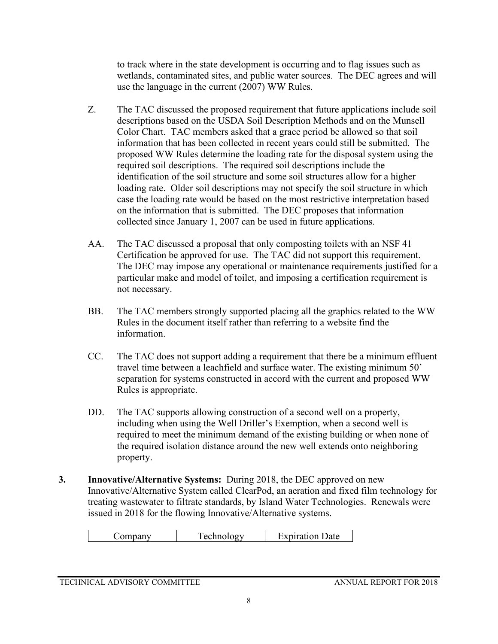to track where in the state development is occurring and to flag issues such as wetlands, contaminated sites, and public water sources. The DEC agrees and will use the language in the current (2007) WW Rules.

- Z. The TAC discussed the proposed requirement that future applications include soil descriptions based on the USDA Soil Description Methods and on the Munsell Color Chart. TAC members asked that a grace period be allowed so that soil information that has been collected in recent years could still be submitted. The proposed WW Rules determine the loading rate for the disposal system using the required soil descriptions. The required soil descriptions include the identification of the soil structure and some soil structures allow for a higher loading rate. Older soil descriptions may not specify the soil structure in which case the loading rate would be based on the most restrictive interpretation based on the information that is submitted. The DEC proposes that information collected since January 1, 2007 can be used in future applications.
- AA. The TAC discussed a proposal that only composting toilets with an NSF 41 Certification be approved for use. The TAC did not support this requirement. The DEC may impose any operational or maintenance requirements justified for a particular make and model of toilet, and imposing a certification requirement is not necessary.
- BB. The TAC members strongly supported placing all the graphics related to the WW Rules in the document itself rather than referring to a website find the information.
- CC. The TAC does not support adding a requirement that there be a minimum effluent travel time between a leachfield and surface water. The existing minimum 50' separation for systems constructed in accord with the current and proposed WW Rules is appropriate.
- DD. The TAC supports allowing construction of a second well on a property, including when using the Well Driller's Exemption, when a second well is required to meet the minimum demand of the existing building or when none of the required isolation distance around the new well extends onto neighboring property.
- **3. Innovative/Alternative Systems:** During 2018, the DEC approved on new Innovative/Alternative System called ClearPod, an aeration and fixed film technology for treating wastewater to filtrate standards, by Island Water Technologies. Renewals were issued in 2018 for the flowing Innovative/Alternative systems.

|--|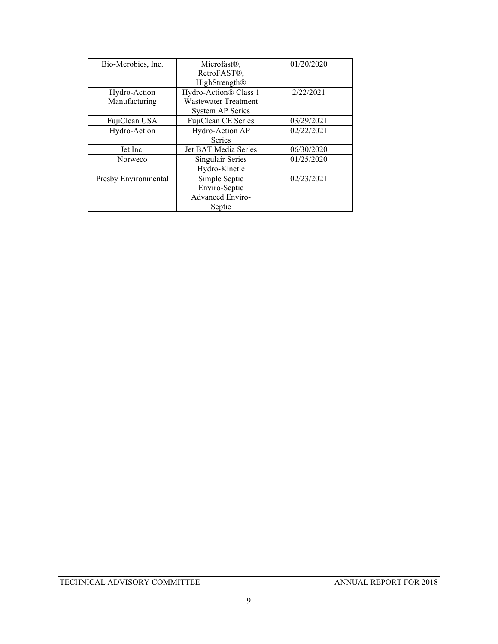| Bio-Mcrobics, Inc.   | Microfast <sup>®</sup> ,    | 01/20/2020 |
|----------------------|-----------------------------|------------|
|                      | RetroFAST <sup>®</sup> ,    |            |
|                      | HighStrength®               |            |
| Hydro-Action         | Hydro-Action® Class 1       | 2/22/2021  |
| Manufacturing        | <b>Wastewater Treatment</b> |            |
|                      | System AP Series            |            |
| FujiClean USA        | FujiClean CE Series         | 03/29/2021 |
| Hydro-Action         | Hydro-Action AP             | 02/22/2021 |
|                      | <b>Series</b>               |            |
| Jet Inc.             | Jet BAT Media Series        | 06/30/2020 |
| Norweco              | Singulair Series            | 01/25/2020 |
|                      | Hydro-Kinetic               |            |
| Presby Environmental | Simple Septic               | 02/23/2021 |
|                      | Enviro-Septic               |            |
|                      | <b>Advanced Enviro-</b>     |            |
|                      | Septic                      |            |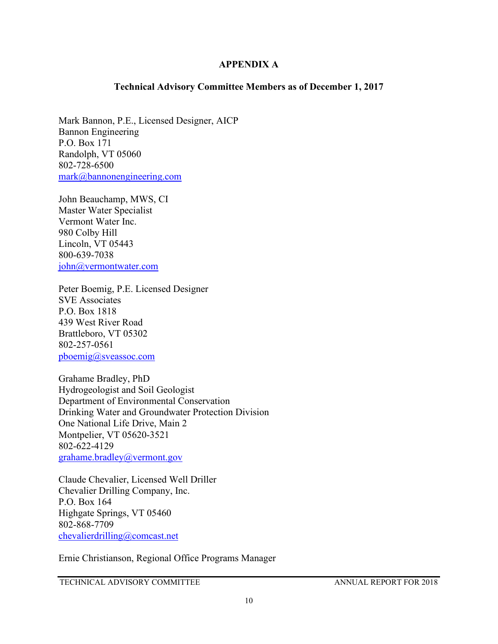## **APPENDIX A**

## **Technical Advisory Committee Members as of December 1, 2017**

Mark Bannon, P.E., Licensed Designer, AICP Bannon Engineering P.O. Box 171 Randolph, VT 05060 802-728-6500 [mark@bannonengineering.com](mailto:mark@bannonengineering.com)

John Beauchamp, MWS, CI Master Water Specialist Vermont Water Inc. 980 Colby Hill Lincoln, VT 05443 800-639-7038 [john@vermontwater.com](mailto:john@vermontwater.com)

Peter Boemig, P.E. Licensed Designer SVE Associates P.O. Box 1818 439 West River Road Brattleboro, VT 05302 802-257-0561 [pboemig@sveassoc.com](mailto:pboemig@sveassoc.com)

Grahame Bradley, PhD Hydrogeologist and Soil Geologist Department of Environmental Conservation Drinking Water and Groundwater Protection Division One National Life Drive, Main 2 Montpelier, VT 05620-3521 802-622-4129 [grahame.bradley@vermont.gov](mailto:grahame.bradley@vermont.gov)

Claude Chevalier, Licensed Well Driller Chevalier Drilling Company, Inc. P.O. Box 164 Highgate Springs, VT 05460 802-868-7709 [chevalierdrilling@comcast.net](mailto:chevalierdrilling@comcast.net)

Ernie Christianson, Regional Office Programs Manager

TECHNICAL ADVISORY COMMITTEE ANNUAL REPORT FOR 2018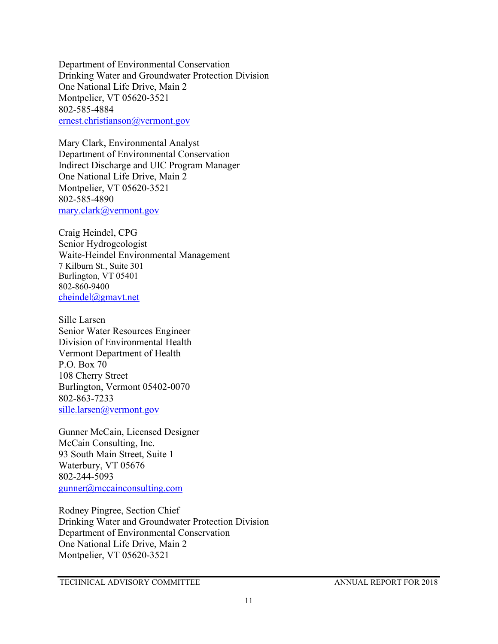Department of Environmental Conservation Drinking Water and Groundwater Protection Division One National Life Drive, Main 2 Montpelier, VT 05620-3521 802-585-4884 [ernest.christianson@vermont.gov](mailto:ernest.christianson@vermont.gov)

Mary Clark, Environmental Analyst Department of Environmental Conservation Indirect Discharge and UIC Program Manager One National Life Drive, Main 2 Montpelier, VT 05620-3521 802-585-4890 [mary.clark@vermont.gov](mailto:mary.clark@vermont.gov)

Craig Heindel, CPG Senior Hydrogeologist Waite-Heindel Environmental Management 7 Kilburn St., Suite 301 Burlington, VT 05401 802-860-9400 [cheindel@gmavt.net](mailto:cheindel@gmavt.net)

Sille Larsen Senior Water Resources Engineer Division of Environmental Health Vermont Department of Health P.O. Box 70 108 Cherry Street Burlington, Vermont 05402-0070 802-863-7233 [sille.larsen@vermont.gov](mailto:sille.larsen@vermont.gov)

Gunner McCain, Licensed Designer McCain Consulting, Inc. 93 South Main Street, Suite 1 Waterbury, VT 05676 802-244-5093 [gunner@mccainconsulting.com](mailto:gunner@mccainconsulting.com)

Rodney Pingree, Section Chief Drinking Water and Groundwater Protection Division Department of Environmental Conservation One National Life Drive, Main 2 Montpelier, VT 05620-3521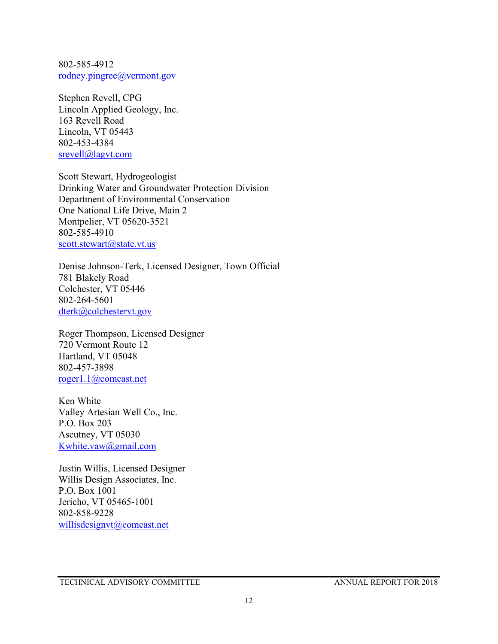802-585-4912 [rodney.pingree@vermont.gov](mailto:rodney.pingree@vermont.gov)

Stephen Revell, CPG Lincoln Applied Geology, Inc. 163 Revell Road Lincoln, VT 05443 802-453-4384 [srevell@lagvt.com](mailto:srevell@lagvt.com)

Scott Stewart, Hydrogeologist Drinking Water and Groundwater Protection Division Department of Environmental Conservation One National Life Drive, Main 2 Montpelier, VT 05620-3521 802-585-4910 [scott.stewart@state.vt.us](mailto:scott.stewart@state.vt.us)

Denise Johnson-Terk, Licensed Designer, Town Official 781 Blakely Road Colchester, VT 05446 802-264-5601 [dterk@colchestervt.gov](mailto:dterk@colchestervt.gov)

Roger Thompson, Licensed Designer 720 Vermont Route 12 Hartland, VT 05048 802-457-3898 [roger1.1@comcast.net](mailto:roger1.1@comcast.net)

Ken White Valley Artesian Well Co., Inc. P.O. Box 203 Ascutney, VT 05030 [Kwhite.vaw@gmail.com](mailto:Kwhite.vaw@gmail.com)

Justin Willis, Licensed Designer Willis Design Associates, Inc. P.O. Box 1001 Jericho, VT 05465-1001 802-858-9228 [willisdesignvt@comcast.net](mailto:willisdesignvt@comcast.net)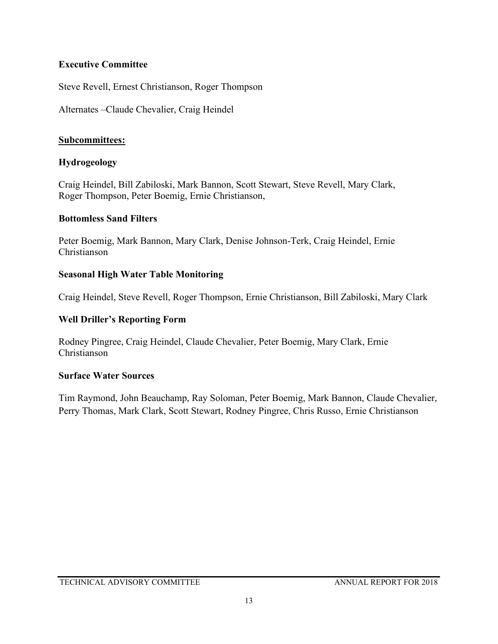# **Executive Committee**

Steve Revell, Ernest Christianson, Roger Thompson

Alternates –Claude Chevalier, Craig Heindel

# **Subcommittees:**

# **Hydrogeology**

Craig Heindel, Bill Zabiloski, Mark Bannon, Scott Stewart, Steve Revell, Mary Clark, Roger Thompson, Peter Boemig, Ernie Christianson,

# **Bottomless Sand Filters**

Peter Boemig, Mark Bannon, Mary Clark, Denise Johnson-Terk, Craig Heindel, Ernie Christianson

# **Seasonal High Water Table Monitoring**

Craig Heindel, Steve Revell, Roger Thompson, Ernie Christianson, Bill Zabiloski, Mary Clark

# **Well Driller's Reporting Form**

Rodney Pingree, Craig Heindel, Claude Chevalier, Peter Boemig, Mary Clark, Ernie Christianson

# **Surface Water Sources**

Tim Raymond, John Beauchamp, Ray Soloman, Peter Boemig, Mark Bannon, Claude Chevalier, Perry Thomas, Mark Clark, Scott Stewart, Rodney Pingree, Chris Russo, Ernie Christianson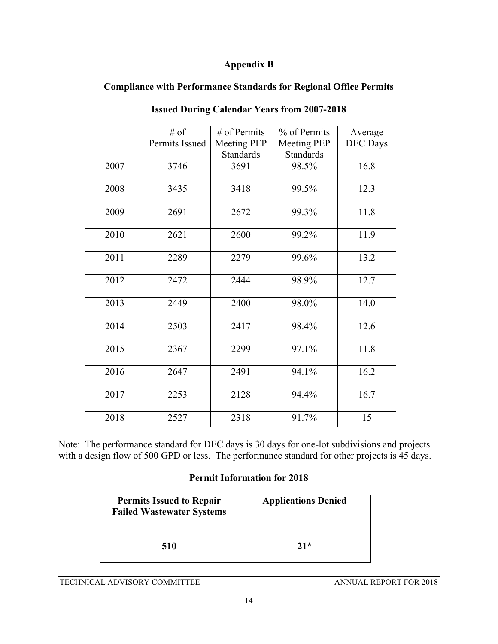# **Appendix B**

# **Compliance with Performance Standards for Regional Office Permits**

|      | $#$ of         | $#$ of Permits     | % of Permits       | Average         |
|------|----------------|--------------------|--------------------|-----------------|
|      | Permits Issued | <b>Meeting PEP</b> | <b>Meeting PEP</b> | <b>DEC</b> Days |
|      |                | <b>Standards</b>   | <b>Standards</b>   |                 |
| 2007 | 3746           | 3691               | 98.5%              | 16.8            |
|      |                |                    |                    |                 |
| 2008 | 3435           | 3418               | 99.5%              | 12.3            |
| 2009 | 2691           | 2672               | 99.3%              | 11.8            |
|      |                |                    |                    |                 |
| 2010 | 2621           | 2600               | 99.2%              | 11.9            |
| 2011 | 2289           | 2279               | 99.6%              | 13.2            |
|      |                |                    |                    |                 |
| 2012 | 2472           | 2444               | 98.9%              | 12.7            |
| 2013 | 2449           | 2400               | 98.0%              | 14.0            |
|      |                |                    |                    |                 |
| 2014 | 2503           | 2417               | 98.4%              | 12.6            |
| 2015 | 2367           | 2299               | 97.1%              | 11.8            |
|      |                |                    |                    |                 |
| 2016 | 2647           | 2491               | 94.1%              | 16.2            |
|      |                |                    |                    |                 |
| 2017 | 2253           | 2128               | 94.4%              | 16.7            |
| 2018 | 2527           | 2318               | 91.7%              | 15              |

# **Issued During Calendar Years from 2007-2018**

Note: The performance standard for DEC days is 30 days for one-lot subdivisions and projects with a design flow of 500 GPD or less. The performance standard for other projects is 45 days.

# **Permit Information for 2018**

| <b>Permits Issued to Repair</b><br><b>Failed Wastewater Systems</b> | <b>Applications Denied</b> |
|---------------------------------------------------------------------|----------------------------|
| 510                                                                 | $21*$                      |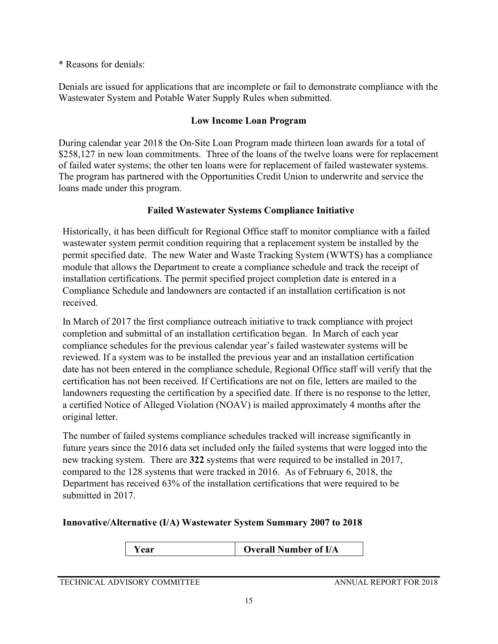# \* Reasons for denials:

Denials are issued for applications that are incomplete or fail to demonstrate compliance with the Wastewater System and Potable Water Supply Rules when submitted.

# **Low Income Loan Program**

During calendar year 2018 the On-Site Loan Program made thirteen loan awards for a total of \$258,127 in new loan commitments. Three of the loans of the twelve loans were for replacement of failed water systems; the other ten loans were for replacement of failed wastewater systems. The program has partnered with the Opportunities Credit Union to underwrite and service the loans made under this program.

# **Failed Wastewater Systems Compliance Initiative**

Historically, it has been difficult for Regional Office staff to monitor compliance with a failed wastewater system permit condition requiring that a replacement system be installed by the permit specified date. The new Water and Waste Tracking System (WWTS) has a compliance module that allows the Department to create a compliance schedule and track the receipt of installation certifications. The permit specified project completion date is entered in a Compliance Schedule and landowners are contacted if an installation certification is not received.

In March of 2017 the first compliance outreach initiative to track compliance with project completion and submittal of an installation certification began. In March of each year compliance schedules for the previous calendar year's failed wastewater systems will be reviewed. If a system was to be installed the previous year and an installation certification date has not been entered in the compliance schedule, Regional Office staff will verify that the certification has not been received. If Certifications are not on file, letters are mailed to the landowners requesting the certification by a specified date. If there is no response to the letter, a certified Notice of Alleged Violation (NOAV) is mailed approximately 4 months after the original letter.

The number of failed systems compliance schedules tracked will increase significantly in future years since the 2016 data set included only the failed systems that were logged into the new tracking system. There are **322** systems that were required to be installed in 2017, compared to the 128 systems that were tracked in 2016. As of February 6, 2018, the Department has received 63% of the installation certifications that were required to be submitted in 2017.

# **Innovative/Alternative (I/A) Wastewater System Summary 2007 to 2018**

**Year Overall Number of I/A** 

## TECHNICAL ADVISORY COMMITTEE ANNUAL REPORT FOR 2018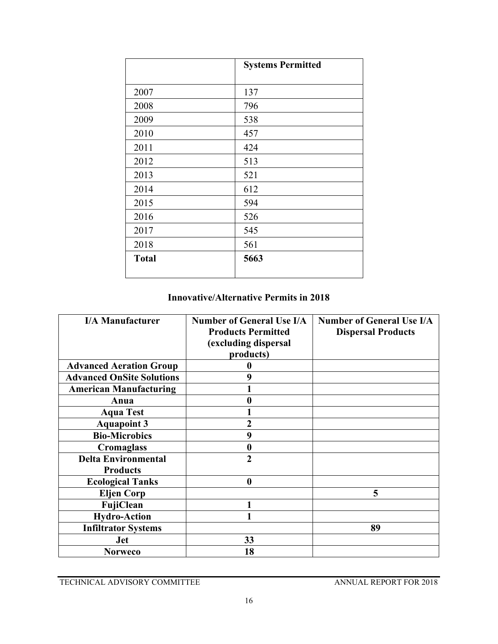|              | <b>Systems Permitted</b> |
|--------------|--------------------------|
|              |                          |
| 2007         | 137                      |
| 2008         | 796                      |
| 2009         | 538                      |
| 2010         | 457                      |
| 2011         | 424                      |
| 2012         | 513                      |
| 2013         | 521                      |
| 2014         | 612                      |
| 2015         | 594                      |
| 2016         | 526                      |
| 2017         | 545                      |
| 2018         | 561                      |
| <b>Total</b> | 5663                     |
|              |                          |

# **Innovative/Alternative Permits in 2018**

| <b>I/A Manufacturer</b>                       | <b>Number of General Use I/A</b><br><b>Products Permitted</b><br>(excluding dispersal<br>products) | <b>Number of General Use I/A</b><br><b>Dispersal Products</b> |
|-----------------------------------------------|----------------------------------------------------------------------------------------------------|---------------------------------------------------------------|
| <b>Advanced Aeration Group</b>                |                                                                                                    |                                                               |
| <b>Advanced OnSite Solutions</b>              | 9                                                                                                  |                                                               |
| <b>American Manufacturing</b>                 |                                                                                                    |                                                               |
| Anua                                          |                                                                                                    |                                                               |
| <b>Aqua Test</b>                              |                                                                                                    |                                                               |
| <b>Aquapoint 3</b>                            | 2                                                                                                  |                                                               |
| <b>Bio-Microbics</b>                          | 9                                                                                                  |                                                               |
| <b>Cromaglass</b>                             | 0                                                                                                  |                                                               |
| <b>Delta Environmental</b><br><b>Products</b> | $\overline{2}$                                                                                     |                                                               |
| <b>Ecological Tanks</b>                       | $\bf{0}$                                                                                           |                                                               |
| <b>Eljen Corp</b>                             |                                                                                                    | 5                                                             |
| FujiClean                                     |                                                                                                    |                                                               |
| <b>Hydro-Action</b>                           |                                                                                                    |                                                               |
| <b>Infiltrator Systems</b>                    |                                                                                                    | 89                                                            |
| Jet                                           | 33                                                                                                 |                                                               |
| <b>Norweco</b>                                | 18                                                                                                 |                                                               |

TECHNICAL ADVISORY COMMITTEE ANNUAL REPORT FOR 2018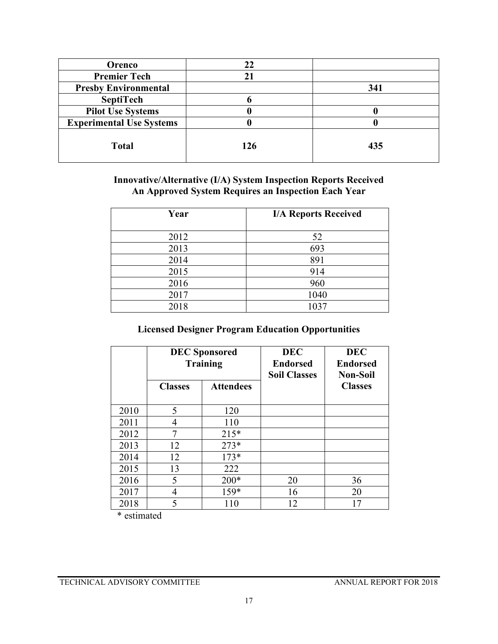| Orenco                          | 22  |     |
|---------------------------------|-----|-----|
| <b>Premier Tech</b>             |     |     |
| <b>Presby Environmental</b>     |     | 341 |
| <b>SeptiTech</b>                |     |     |
| <b>Pilot Use Systems</b>        |     |     |
| <b>Experimental Use Systems</b> |     |     |
| <b>Total</b>                    | 126 | 435 |

**Innovative/Alternative (I/A) System Inspection Reports Received An Approved System Requires an Inspection Each Year**

| Year | <b>I/A Reports Received</b> |
|------|-----------------------------|
| 2012 | 52                          |
| 2013 | 693                         |
| 2014 | 891                         |
| 2015 | 914                         |
| 2016 | 960                         |
| 2017 | 1040                        |
| 2018 | 1037                        |

# **Licensed Designer Program Education Opportunities**

|      | <b>DEC</b> Sponsored<br><b>Training</b> |                  | <b>DEC</b><br><b>Endorsed</b><br><b>Soil Classes</b> | <b>DEC</b><br><b>Endorsed</b><br><b>Non-Soil</b> |
|------|-----------------------------------------|------------------|------------------------------------------------------|--------------------------------------------------|
|      | <b>Classes</b>                          | <b>Attendees</b> |                                                      | <b>Classes</b>                                   |
| 2010 | 5                                       | 120              |                                                      |                                                  |
| 2011 | 4                                       | 110              |                                                      |                                                  |
| 2012 | 7                                       | $215*$           |                                                      |                                                  |
| 2013 | 12                                      | $273*$           |                                                      |                                                  |
| 2014 | 12                                      | $173*$           |                                                      |                                                  |
| 2015 | 13                                      | 222              |                                                      |                                                  |
| 2016 | 5                                       | $200*$           | 20                                                   | 36                                               |
| 2017 | 4                                       | 159*             | 16                                                   | 20                                               |
| 2018 | 5                                       | 110              | 12                                                   |                                                  |

\* estimated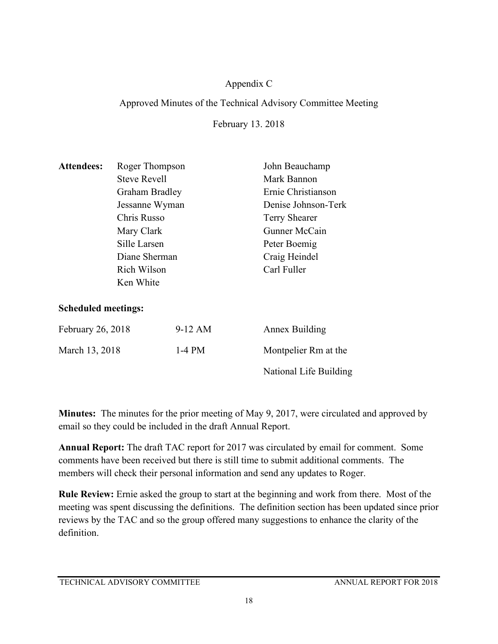# Appendix C

# Approved Minutes of the Technical Advisory Committee Meeting

February 13. 2018

| <b>Attendees:</b>          | Roger Thompson      |          | John Beauchamp         |
|----------------------------|---------------------|----------|------------------------|
|                            | <b>Steve Revell</b> |          | Mark Bannon            |
|                            | Graham Bradley      |          | Ernie Christianson     |
|                            | Jessanne Wyman      |          | Denise Johnson-Terk    |
|                            | Chris Russo         |          | <b>Terry Shearer</b>   |
|                            | Mary Clark          |          | Gunner McCain          |
|                            | Sille Larsen        |          | Peter Boemig           |
|                            | Diane Sherman       |          | Craig Heindel          |
|                            | Rich Wilson         |          | Carl Fuller            |
|                            | Ken White           |          |                        |
| <b>Scheduled meetings:</b> |                     |          |                        |
| February 26, 2018          |                     | 9-12 AM  | <b>Annex Building</b>  |
| March 13, 2018             |                     | $1-4$ PM | Montpelier Rm at the   |
|                            |                     |          | National Life Building |

**Minutes:** The minutes for the prior meeting of May 9, 2017, were circulated and approved by email so they could be included in the draft Annual Report.

**Annual Report:** The draft TAC report for 2017 was circulated by email for comment. Some comments have been received but there is still time to submit additional comments. The members will check their personal information and send any updates to Roger.

**Rule Review:** Ernie asked the group to start at the beginning and work from there. Most of the meeting was spent discussing the definitions. The definition section has been updated since prior reviews by the TAC and so the group offered many suggestions to enhance the clarity of the definition.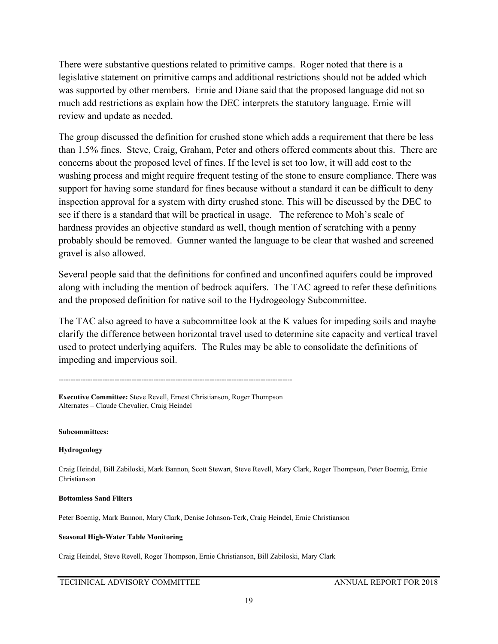There were substantive questions related to primitive camps. Roger noted that there is a legislative statement on primitive camps and additional restrictions should not be added which was supported by other members. Ernie and Diane said that the proposed language did not so much add restrictions as explain how the DEC interprets the statutory language. Ernie will review and update as needed.

The group discussed the definition for crushed stone which adds a requirement that there be less than 1.5% fines. Steve, Craig, Graham, Peter and others offered comments about this. There are concerns about the proposed level of fines. If the level is set too low, it will add cost to the washing process and might require frequent testing of the stone to ensure compliance. There was support for having some standard for fines because without a standard it can be difficult to deny inspection approval for a system with dirty crushed stone. This will be discussed by the DEC to see if there is a standard that will be practical in usage. The reference to Moh's scale of hardness provides an objective standard as well, though mention of scratching with a penny probably should be removed. Gunner wanted the language to be clear that washed and screened gravel is also allowed.

Several people said that the definitions for confined and unconfined aquifers could be improved along with including the mention of bedrock aquifers. The TAC agreed to refer these definitions and the proposed definition for native soil to the Hydrogeology Subcommittee.

The TAC also agreed to have a subcommittee look at the K values for impeding soils and maybe clarify the difference between horizontal travel used to determine site capacity and vertical travel used to protect underlying aquifers. The Rules may be able to consolidate the definitions of impeding and impervious soil.

------------------------------------------------------------------------------------------------

**Executive Committee:** Steve Revell, Ernest Christianson, Roger Thompson Alternates – Claude Chevalier, Craig Heindel

**Subcommittees:**

## **Hydrogeology**

Craig Heindel, Bill Zabiloski, Mark Bannon, Scott Stewart, Steve Revell, Mary Clark, Roger Thompson, Peter Boemig, Ernie Christianson

## **Bottomless Sand Filters**

Peter Boemig, Mark Bannon, Mary Clark, Denise Johnson-Terk, Craig Heindel, Ernie Christianson

## **Seasonal High-Water Table Monitoring**

Craig Heindel, Steve Revell, Roger Thompson, Ernie Christianson, Bill Zabiloski, Mary Clark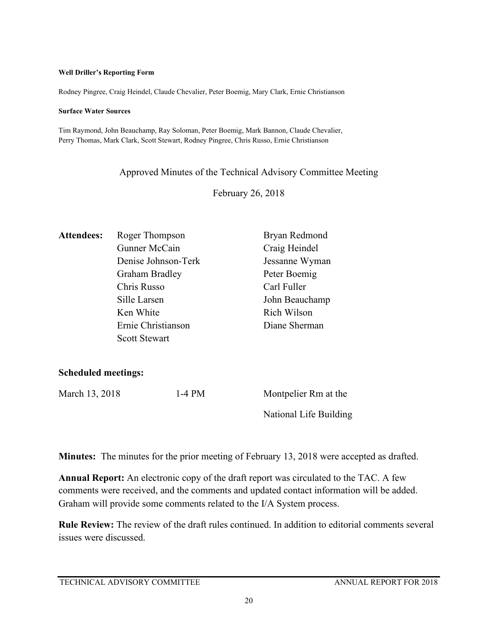#### **Well Driller's Reporting Form**

Rodney Pingree, Craig Heindel, Claude Chevalier, Peter Boemig, Mary Clark, Ernie Christianson

#### **Surface Water Sources**

Tim Raymond, John Beauchamp, Ray Soloman, Peter Boemig, Mark Bannon, Claude Chevalier, Perry Thomas, Mark Clark, Scott Stewart, Rodney Pingree, Chris Russo, Ernie Christianson

Approved Minutes of the Technical Advisory Committee Meeting

February 26, 2018

| <b>Attendees:</b> | Roger Thompson       | Bryan Redmond  |
|-------------------|----------------------|----------------|
|                   | Gunner McCain        | Craig Heindel  |
|                   | Denise Johnson-Terk  | Jessanne Wyman |
|                   | Graham Bradley       | Peter Boemig   |
|                   | Chris Russo          | Carl Fuller    |
|                   | Sille Larsen         | John Beauchamp |
|                   | Ken White            | Rich Wilson    |
|                   | Ernie Christianson   | Diane Sherman  |
|                   | <b>Scott Stewart</b> |                |

**Scheduled meetings:** 

| March 13, 2018 | 1-4 PM | Montpelier Rm at the   |
|----------------|--------|------------------------|
|                |        | National Life Building |

**Minutes:** The minutes for the prior meeting of February 13, 2018 were accepted as drafted.

**Annual Report:** An electronic copy of the draft report was circulated to the TAC. A few comments were received, and the comments and updated contact information will be added. Graham will provide some comments related to the I/A System process.

**Rule Review:** The review of the draft rules continued. In addition to editorial comments several issues were discussed.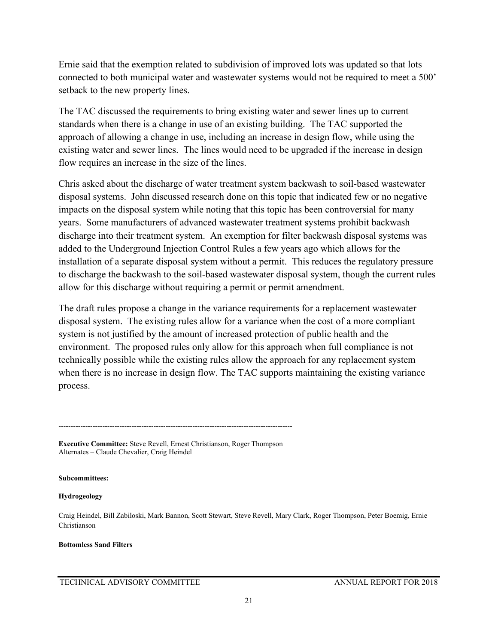Ernie said that the exemption related to subdivision of improved lots was updated so that lots connected to both municipal water and wastewater systems would not be required to meet a 500' setback to the new property lines.

The TAC discussed the requirements to bring existing water and sewer lines up to current standards when there is a change in use of an existing building. The TAC supported the approach of allowing a change in use, including an increase in design flow, while using the existing water and sewer lines. The lines would need to be upgraded if the increase in design flow requires an increase in the size of the lines.

Chris asked about the discharge of water treatment system backwash to soil-based wastewater disposal systems. John discussed research done on this topic that indicated few or no negative impacts on the disposal system while noting that this topic has been controversial for many years. Some manufacturers of advanced wastewater treatment systems prohibit backwash discharge into their treatment system. An exemption for filter backwash disposal systems was added to the Underground Injection Control Rules a few years ago which allows for the installation of a separate disposal system without a permit. This reduces the regulatory pressure to discharge the backwash to the soil-based wastewater disposal system, though the current rules allow for this discharge without requiring a permit or permit amendment.

The draft rules propose a change in the variance requirements for a replacement wastewater disposal system. The existing rules allow for a variance when the cost of a more compliant system is not justified by the amount of increased protection of public health and the environment. The proposed rules only allow for this approach when full compliance is not technically possible while the existing rules allow the approach for any replacement system when there is no increase in design flow. The TAC supports maintaining the existing variance process.

------------------------------------------------------------------------------------------------ **Executive Committee:** Steve Revell, Ernest Christianson, Roger Thompson

Alternates – Claude Chevalier, Craig Heindel

## **Subcommittees:**

## **Hydrogeology**

Craig Heindel, Bill Zabiloski, Mark Bannon, Scott Stewart, Steve Revell, Mary Clark, Roger Thompson, Peter Boemig, Ernie Christianson

## **Bottomless Sand Filters**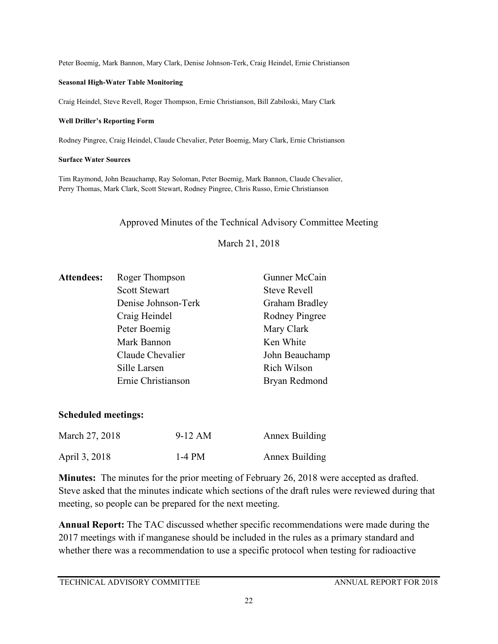Peter Boemig, Mark Bannon, Mary Clark, Denise Johnson-Terk, Craig Heindel, Ernie Christianson

## **Seasonal High-Water Table Monitoring**

Craig Heindel, Steve Revell, Roger Thompson, Ernie Christianson, Bill Zabiloski, Mary Clark

## **Well Driller's Reporting Form**

Rodney Pingree, Craig Heindel, Claude Chevalier, Peter Boemig, Mary Clark, Ernie Christianson

## **Surface Water Sources**

Tim Raymond, John Beauchamp, Ray Soloman, Peter Boemig, Mark Bannon, Claude Chevalier, Perry Thomas, Mark Clark, Scott Stewart, Rodney Pingree, Chris Russo, Ernie Christianson

## Approved Minutes of the Technical Advisory Committee Meeting

March 21, 2018

| <b>Attendees:</b> | Roger Thompson       | Gunner McCain       |
|-------------------|----------------------|---------------------|
|                   | <b>Scott Stewart</b> | <b>Steve Revell</b> |
|                   | Denise Johnson-Terk  | Graham Bradley      |
|                   | Craig Heindel        | Rodney Pingree      |
|                   | Peter Boemig         | Mary Clark          |
|                   | Mark Bannon          | Ken White           |
|                   | Claude Chevalier     | John Beauchamp      |
|                   | Sille Larsen         | Rich Wilson         |
|                   | Ernie Christianson   | Bryan Redmond       |
|                   |                      |                     |

# **Scheduled meetings:**

| March 27, 2018 | 9-12 AM  | Annex Building |
|----------------|----------|----------------|
| April 3, 2018  | $1-4$ PM | Annex Building |

**Minutes:** The minutes for the prior meeting of February 26, 2018 were accepted as drafted. Steve asked that the minutes indicate which sections of the draft rules were reviewed during that meeting, so people can be prepared for the next meeting.

**Annual Report:** The TAC discussed whether specific recommendations were made during the 2017 meetings with if manganese should be included in the rules as a primary standard and whether there was a recommendation to use a specific protocol when testing for radioactive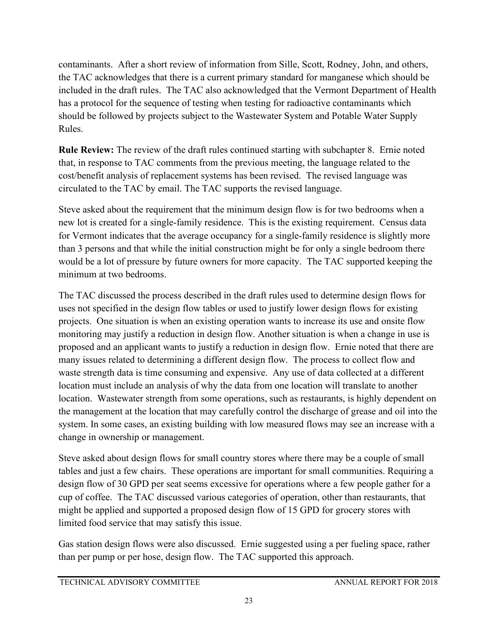contaminants. After a short review of information from Sille, Scott, Rodney, John, and others, the TAC acknowledges that there is a current primary standard for manganese which should be included in the draft rules. The TAC also acknowledged that the Vermont Department of Health has a protocol for the sequence of testing when testing for radioactive contaminants which should be followed by projects subject to the Wastewater System and Potable Water Supply Rules.

**Rule Review:** The review of the draft rules continued starting with subchapter 8. Ernie noted that, in response to TAC comments from the previous meeting, the language related to the cost/benefit analysis of replacement systems has been revised. The revised language was circulated to the TAC by email. The TAC supports the revised language.

Steve asked about the requirement that the minimum design flow is for two bedrooms when a new lot is created for a single-family residence. This is the existing requirement. Census data for Vermont indicates that the average occupancy for a single-family residence is slightly more than 3 persons and that while the initial construction might be for only a single bedroom there would be a lot of pressure by future owners for more capacity. The TAC supported keeping the minimum at two bedrooms.

The TAC discussed the process described in the draft rules used to determine design flows for uses not specified in the design flow tables or used to justify lower design flows for existing projects. One situation is when an existing operation wants to increase its use and onsite flow monitoring may justify a reduction in design flow. Another situation is when a change in use is proposed and an applicant wants to justify a reduction in design flow. Ernie noted that there are many issues related to determining a different design flow. The process to collect flow and waste strength data is time consuming and expensive. Any use of data collected at a different location must include an analysis of why the data from one location will translate to another location. Wastewater strength from some operations, such as restaurants, is highly dependent on the management at the location that may carefully control the discharge of grease and oil into the system. In some cases, an existing building with low measured flows may see an increase with a change in ownership or management.

Steve asked about design flows for small country stores where there may be a couple of small tables and just a few chairs. These operations are important for small communities. Requiring a design flow of 30 GPD per seat seems excessive for operations where a few people gather for a cup of coffee. The TAC discussed various categories of operation, other than restaurants, that might be applied and supported a proposed design flow of 15 GPD for grocery stores with limited food service that may satisfy this issue.

Gas station design flows were also discussed. Ernie suggested using a per fueling space, rather than per pump or per hose, design flow. The TAC supported this approach.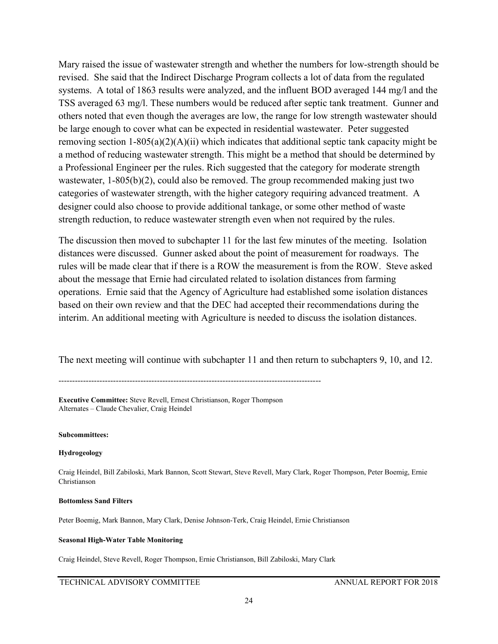Mary raised the issue of wastewater strength and whether the numbers for low-strength should be revised. She said that the Indirect Discharge Program collects a lot of data from the regulated systems. A total of 1863 results were analyzed, and the influent BOD averaged 144 mg/l and the TSS averaged 63 mg/l. These numbers would be reduced after septic tank treatment. Gunner and others noted that even though the averages are low, the range for low strength wastewater should be large enough to cover what can be expected in residential wastewater. Peter suggested removing section 1-805(a)(2)(A)(ii) which indicates that additional septic tank capacity might be a method of reducing wastewater strength. This might be a method that should be determined by a Professional Engineer per the rules. Rich suggested that the category for moderate strength wastewater, 1-805(b)(2), could also be removed. The group recommended making just two categories of wastewater strength, with the higher category requiring advanced treatment. A designer could also choose to provide additional tankage, or some other method of waste strength reduction, to reduce wastewater strength even when not required by the rules.

The discussion then moved to subchapter 11 for the last few minutes of the meeting. Isolation distances were discussed. Gunner asked about the point of measurement for roadways. The rules will be made clear that if there is a ROW the measurement is from the ROW. Steve asked about the message that Ernie had circulated related to isolation distances from farming operations. Ernie said that the Agency of Agriculture had established some isolation distances based on their own review and that the DEC had accepted their recommendations during the interim. An additional meeting with Agriculture is needed to discuss the isolation distances.

The next meeting will continue with subchapter 11 and then return to subchapters 9, 10, and 12.

------------------------------------------------------------------------------------------------

**Executive Committee:** Steve Revell, Ernest Christianson, Roger Thompson Alternates – Claude Chevalier, Craig Heindel

**Subcommittees:**

**Hydrogeology**

Craig Heindel, Bill Zabiloski, Mark Bannon, Scott Stewart, Steve Revell, Mary Clark, Roger Thompson, Peter Boemig, Ernie Christianson

**Bottomless Sand Filters**

Peter Boemig, Mark Bannon, Mary Clark, Denise Johnson-Terk, Craig Heindel, Ernie Christianson

## **Seasonal High-Water Table Monitoring**

Craig Heindel, Steve Revell, Roger Thompson, Ernie Christianson, Bill Zabiloski, Mary Clark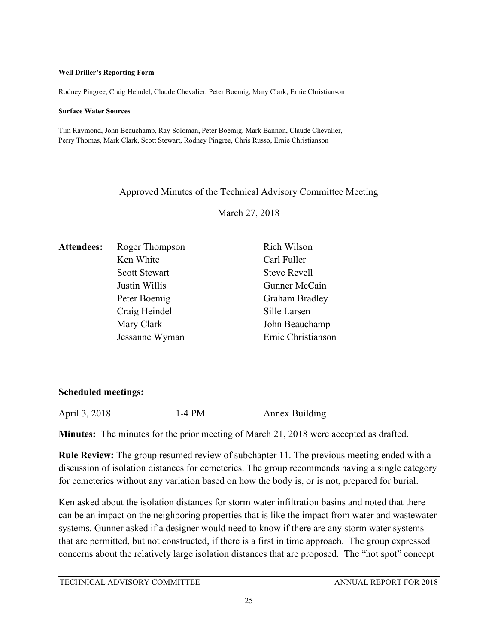## **Well Driller's Reporting Form**

Rodney Pingree, Craig Heindel, Claude Chevalier, Peter Boemig, Mary Clark, Ernie Christianson

## **Surface Water Sources**

Tim Raymond, John Beauchamp, Ray Soloman, Peter Boemig, Mark Bannon, Claude Chevalier, Perry Thomas, Mark Clark, Scott Stewart, Rodney Pingree, Chris Russo, Ernie Christianson

# Approved Minutes of the Technical Advisory Committee Meeting

March 27, 2018

| <b>Attendees:</b> | Roger Thompson       | Rich Wilson           |
|-------------------|----------------------|-----------------------|
|                   | Ken White            | Carl Fuller           |
|                   | <b>Scott Stewart</b> | <b>Steve Revell</b>   |
|                   | Justin Willis        | Gunner McCain         |
|                   | Peter Boemig         | <b>Graham Bradley</b> |
|                   | Craig Heindel        | Sille Larsen          |
|                   | Mary Clark           | John Beauchamp        |
|                   | Jessanne Wyman       | Ernie Christianson    |

# **Scheduled meetings:**

April 3, 2018 1-4 PM Annex Building

**Minutes:** The minutes for the prior meeting of March 21, 2018 were accepted as drafted.

**Rule Review:** The group resumed review of subchapter 11. The previous meeting ended with a discussion of isolation distances for cemeteries. The group recommends having a single category for cemeteries without any variation based on how the body is, or is not, prepared for burial.

Ken asked about the isolation distances for storm water infiltration basins and noted that there can be an impact on the neighboring properties that is like the impact from water and wastewater systems. Gunner asked if a designer would need to know if there are any storm water systems that are permitted, but not constructed, if there is a first in time approach. The group expressed concerns about the relatively large isolation distances that are proposed. The "hot spot" concept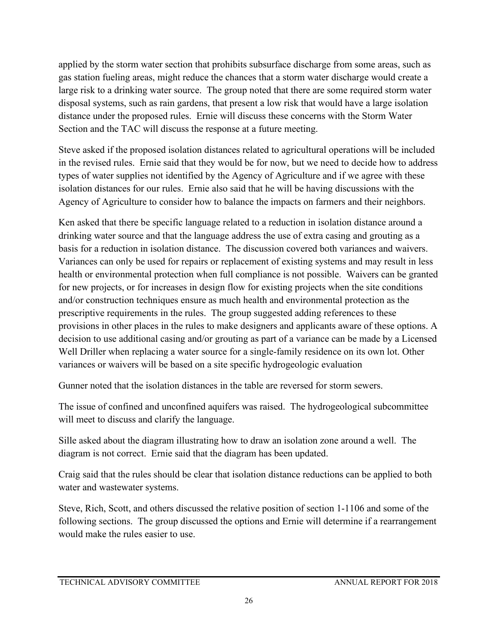applied by the storm water section that prohibits subsurface discharge from some areas, such as gas station fueling areas, might reduce the chances that a storm water discharge would create a large risk to a drinking water source. The group noted that there are some required storm water disposal systems, such as rain gardens, that present a low risk that would have a large isolation distance under the proposed rules. Ernie will discuss these concerns with the Storm Water Section and the TAC will discuss the response at a future meeting.

Steve asked if the proposed isolation distances related to agricultural operations will be included in the revised rules. Ernie said that they would be for now, but we need to decide how to address types of water supplies not identified by the Agency of Agriculture and if we agree with these isolation distances for our rules. Ernie also said that he will be having discussions with the Agency of Agriculture to consider how to balance the impacts on farmers and their neighbors.

Ken asked that there be specific language related to a reduction in isolation distance around a drinking water source and that the language address the use of extra casing and grouting as a basis for a reduction in isolation distance. The discussion covered both variances and waivers. Variances can only be used for repairs or replacement of existing systems and may result in less health or environmental protection when full compliance is not possible. Waivers can be granted for new projects, or for increases in design flow for existing projects when the site conditions and/or construction techniques ensure as much health and environmental protection as the prescriptive requirements in the rules. The group suggested adding references to these provisions in other places in the rules to make designers and applicants aware of these options. A decision to use additional casing and/or grouting as part of a variance can be made by a Licensed Well Driller when replacing a water source for a single-family residence on its own lot. Other variances or waivers will be based on a site specific hydrogeologic evaluation

Gunner noted that the isolation distances in the table are reversed for storm sewers.

The issue of confined and unconfined aquifers was raised. The hydrogeological subcommittee will meet to discuss and clarify the language.

Sille asked about the diagram illustrating how to draw an isolation zone around a well. The diagram is not correct. Ernie said that the diagram has been updated.

Craig said that the rules should be clear that isolation distance reductions can be applied to both water and wastewater systems.

Steve, Rich, Scott, and others discussed the relative position of section 1-1106 and some of the following sections. The group discussed the options and Ernie will determine if a rearrangement would make the rules easier to use.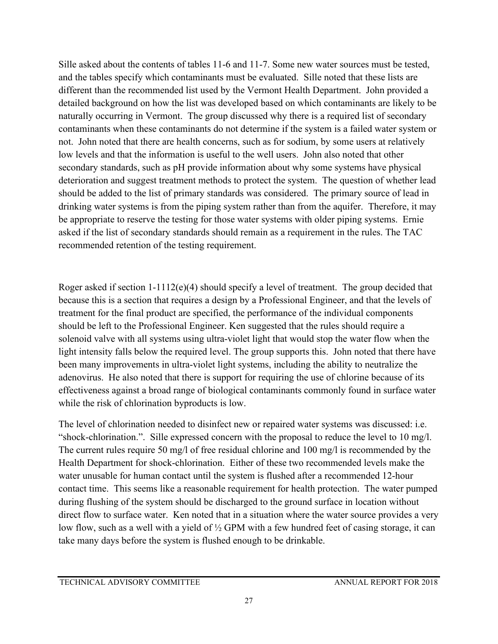Sille asked about the contents of tables 11-6 and 11-7. Some new water sources must be tested, and the tables specify which contaminants must be evaluated. Sille noted that these lists are different than the recommended list used by the Vermont Health Department. John provided a detailed background on how the list was developed based on which contaminants are likely to be naturally occurring in Vermont. The group discussed why there is a required list of secondary contaminants when these contaminants do not determine if the system is a failed water system or not. John noted that there are health concerns, such as for sodium, by some users at relatively low levels and that the information is useful to the well users. John also noted that other secondary standards, such as pH provide information about why some systems have physical deterioration and suggest treatment methods to protect the system. The question of whether lead should be added to the list of primary standards was considered. The primary source of lead in drinking water systems is from the piping system rather than from the aquifer. Therefore, it may be appropriate to reserve the testing for those water systems with older piping systems. Ernie asked if the list of secondary standards should remain as a requirement in the rules. The TAC recommended retention of the testing requirement.

Roger asked if section  $1-1112(e)(4)$  should specify a level of treatment. The group decided that because this is a section that requires a design by a Professional Engineer, and that the levels of treatment for the final product are specified, the performance of the individual components should be left to the Professional Engineer. Ken suggested that the rules should require a solenoid valve with all systems using ultra-violet light that would stop the water flow when the light intensity falls below the required level. The group supports this. John noted that there have been many improvements in ultra-violet light systems, including the ability to neutralize the adenovirus. He also noted that there is support for requiring the use of chlorine because of its effectiveness against a broad range of biological contaminants commonly found in surface water while the risk of chlorination byproducts is low.

The level of chlorination needed to disinfect new or repaired water systems was discussed: i.e. "shock-chlorination.". Sille expressed concern with the proposal to reduce the level to 10 mg/l. The current rules require 50 mg/l of free residual chlorine and 100 mg/l is recommended by the Health Department for shock-chlorination. Either of these two recommended levels make the water unusable for human contact until the system is flushed after a recommended 12-hour contact time. This seems like a reasonable requirement for health protection. The water pumped during flushing of the system should be discharged to the ground surface in location without direct flow to surface water. Ken noted that in a situation where the water source provides a very low flow, such as a well with a yield of ½ GPM with a few hundred feet of casing storage, it can take many days before the system is flushed enough to be drinkable.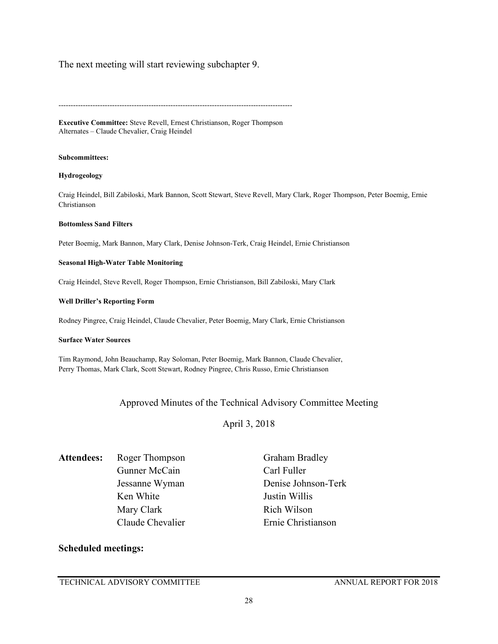## The next meeting will start reviewing subchapter 9.

------------------------------------------------------------------------------------------------

**Executive Committee:** Steve Revell, Ernest Christianson, Roger Thompson Alternates – Claude Chevalier, Craig Heindel

#### **Subcommittees:**

#### **Hydrogeology**

Craig Heindel, Bill Zabiloski, Mark Bannon, Scott Stewart, Steve Revell, Mary Clark, Roger Thompson, Peter Boemig, Ernie Christianson

#### **Bottomless Sand Filters**

Peter Boemig, Mark Bannon, Mary Clark, Denise Johnson-Terk, Craig Heindel, Ernie Christianson

#### **Seasonal High-Water Table Monitoring**

Craig Heindel, Steve Revell, Roger Thompson, Ernie Christianson, Bill Zabiloski, Mary Clark

#### **Well Driller's Reporting Form**

Rodney Pingree, Craig Heindel, Claude Chevalier, Peter Boemig, Mary Clark, Ernie Christianson

#### **Surface Water Sources**

Tim Raymond, John Beauchamp, Ray Soloman, Peter Boemig, Mark Bannon, Claude Chevalier, Perry Thomas, Mark Clark, Scott Stewart, Rodney Pingree, Chris Russo, Ernie Christianson

## Approved Minutes of the Technical Advisory Committee Meeting

April 3, 2018

Attendees: Roger Thompson Graham Bradley Gunner McCain Carl Fuller Ken White **Justin Willis** Mary Clark Rich Wilson Claude Chevalier Ernie Christianson

Jessanne Wyman Denise Johnson-Terk

## **Scheduled meetings:**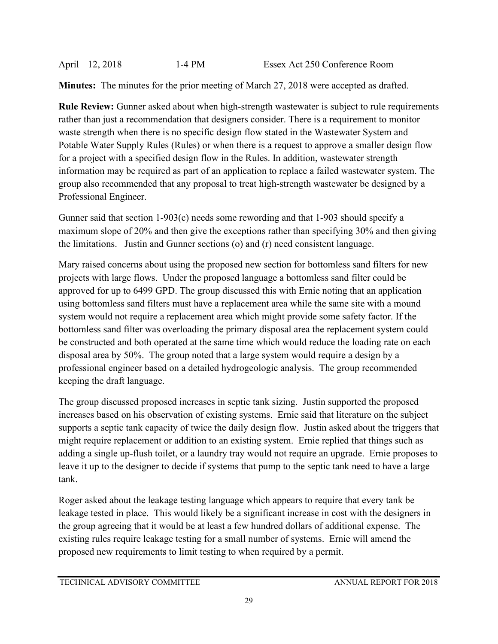**Minutes:** The minutes for the prior meeting of March 27, 2018 were accepted as drafted.

**Rule Review:** Gunner asked about when high-strength wastewater is subject to rule requirements rather than just a recommendation that designers consider. There is a requirement to monitor waste strength when there is no specific design flow stated in the Wastewater System and Potable Water Supply Rules (Rules) or when there is a request to approve a smaller design flow for a project with a specified design flow in the Rules. In addition, wastewater strength information may be required as part of an application to replace a failed wastewater system. The group also recommended that any proposal to treat high-strength wastewater be designed by a Professional Engineer.

Gunner said that section 1-903(c) needs some rewording and that 1-903 should specify a maximum slope of 20% and then give the exceptions rather than specifying 30% and then giving the limitations. Justin and Gunner sections (o) and (r) need consistent language.

Mary raised concerns about using the proposed new section for bottomless sand filters for new projects with large flows. Under the proposed language a bottomless sand filter could be approved for up to 6499 GPD. The group discussed this with Ernie noting that an application using bottomless sand filters must have a replacement area while the same site with a mound system would not require a replacement area which might provide some safety factor. If the bottomless sand filter was overloading the primary disposal area the replacement system could be constructed and both operated at the same time which would reduce the loading rate on each disposal area by 50%. The group noted that a large system would require a design by a professional engineer based on a detailed hydrogeologic analysis. The group recommended keeping the draft language.

The group discussed proposed increases in septic tank sizing. Justin supported the proposed increases based on his observation of existing systems. Ernie said that literature on the subject supports a septic tank capacity of twice the daily design flow. Justin asked about the triggers that might require replacement or addition to an existing system. Ernie replied that things such as adding a single up-flush toilet, or a laundry tray would not require an upgrade. Ernie proposes to leave it up to the designer to decide if systems that pump to the septic tank need to have a large tank.

Roger asked about the leakage testing language which appears to require that every tank be leakage tested in place. This would likely be a significant increase in cost with the designers in the group agreeing that it would be at least a few hundred dollars of additional expense. The existing rules require leakage testing for a small number of systems. Ernie will amend the proposed new requirements to limit testing to when required by a permit.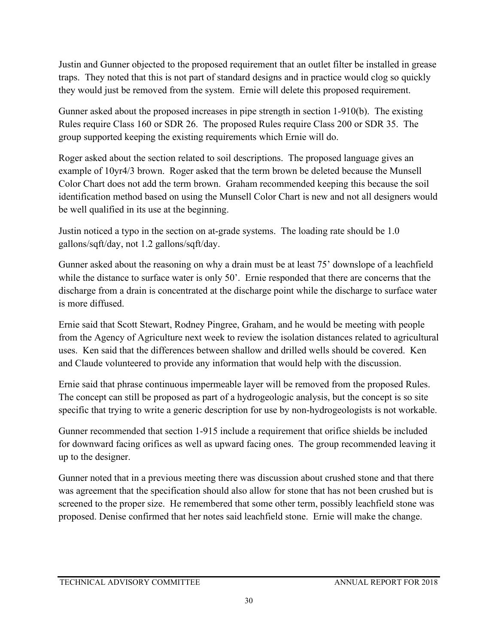Justin and Gunner objected to the proposed requirement that an outlet filter be installed in grease traps. They noted that this is not part of standard designs and in practice would clog so quickly they would just be removed from the system. Ernie will delete this proposed requirement.

Gunner asked about the proposed increases in pipe strength in section 1-910(b). The existing Rules require Class 160 or SDR 26. The proposed Rules require Class 200 or SDR 35. The group supported keeping the existing requirements which Ernie will do.

Roger asked about the section related to soil descriptions. The proposed language gives an example of 10yr4/3 brown. Roger asked that the term brown be deleted because the Munsell Color Chart does not add the term brown. Graham recommended keeping this because the soil identification method based on using the Munsell Color Chart is new and not all designers would be well qualified in its use at the beginning.

Justin noticed a typo in the section on at-grade systems. The loading rate should be 1.0 gallons/sqft/day, not 1.2 gallons/sqft/day.

Gunner asked about the reasoning on why a drain must be at least 75' downslope of a leachfield while the distance to surface water is only 50'. Ernie responded that there are concerns that the discharge from a drain is concentrated at the discharge point while the discharge to surface water is more diffused.

Ernie said that Scott Stewart, Rodney Pingree, Graham, and he would be meeting with people from the Agency of Agriculture next week to review the isolation distances related to agricultural uses. Ken said that the differences between shallow and drilled wells should be covered. Ken and Claude volunteered to provide any information that would help with the discussion.

Ernie said that phrase continuous impermeable layer will be removed from the proposed Rules. The concept can still be proposed as part of a hydrogeologic analysis, but the concept is so site specific that trying to write a generic description for use by non-hydrogeologists is not workable.

Gunner recommended that section 1-915 include a requirement that orifice shields be included for downward facing orifices as well as upward facing ones. The group recommended leaving it up to the designer.

Gunner noted that in a previous meeting there was discussion about crushed stone and that there was agreement that the specification should also allow for stone that has not been crushed but is screened to the proper size. He remembered that some other term, possibly leachfield stone was proposed. Denise confirmed that her notes said leachfield stone. Ernie will make the change.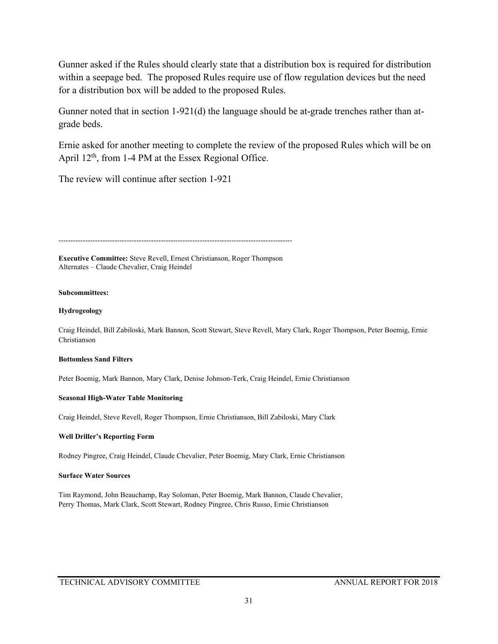Gunner asked if the Rules should clearly state that a distribution box is required for distribution within a seepage bed. The proposed Rules require use of flow regulation devices but the need for a distribution box will be added to the proposed Rules.

Gunner noted that in section 1-921(d) the language should be at-grade trenches rather than atgrade beds.

Ernie asked for another meeting to complete the review of the proposed Rules which will be on April  $12<sup>th</sup>$ , from 1-4 PM at the Essex Regional Office.

The review will continue after section 1-921

------------------------------------------------------------------------------------------------

**Executive Committee:** Steve Revell, Ernest Christianson, Roger Thompson Alternates – Claude Chevalier, Craig Heindel

## **Subcommittees:**

## **Hydrogeology**

Craig Heindel, Bill Zabiloski, Mark Bannon, Scott Stewart, Steve Revell, Mary Clark, Roger Thompson, Peter Boemig, Ernie Christianson

## **Bottomless Sand Filters**

Peter Boemig, Mark Bannon, Mary Clark, Denise Johnson-Terk, Craig Heindel, Ernie Christianson

## **Seasonal High-Water Table Monitoring**

Craig Heindel, Steve Revell, Roger Thompson, Ernie Christianson, Bill Zabiloski, Mary Clark

## **Well Driller's Reporting Form**

Rodney Pingree, Craig Heindel, Claude Chevalier, Peter Boemig, Mary Clark, Ernie Christianson

## **Surface Water Sources**

Tim Raymond, John Beauchamp, Ray Soloman, Peter Boemig, Mark Bannon, Claude Chevalier, Perry Thomas, Mark Clark, Scott Stewart, Rodney Pingree, Chris Russo, Ernie Christianson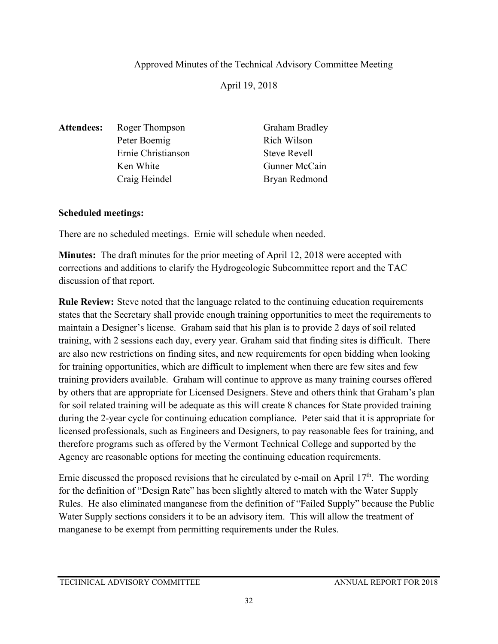# Approved Minutes of the Technical Advisory Committee Meeting

April 19, 2018

Attendees: Roger Thompson Graham Bradley Peter Boemig Rich Wilson Ernie Christianson Steve Revell Ken White Gunner McCain Craig Heindel Bryan Redmond

# **Scheduled meetings:**

There are no scheduled meetings. Ernie will schedule when needed.

**Minutes:** The draft minutes for the prior meeting of April 12, 2018 were accepted with corrections and additions to clarify the Hydrogeologic Subcommittee report and the TAC discussion of that report.

**Rule Review:** Steve noted that the language related to the continuing education requirements states that the Secretary shall provide enough training opportunities to meet the requirements to maintain a Designer's license. Graham said that his plan is to provide 2 days of soil related training, with 2 sessions each day, every year. Graham said that finding sites is difficult. There are also new restrictions on finding sites, and new requirements for open bidding when looking for training opportunities, which are difficult to implement when there are few sites and few training providers available. Graham will continue to approve as many training courses offered by others that are appropriate for Licensed Designers. Steve and others think that Graham's plan for soil related training will be adequate as this will create 8 chances for State provided training during the 2-year cycle for continuing education compliance. Peter said that it is appropriate for licensed professionals, such as Engineers and Designers, to pay reasonable fees for training, and therefore programs such as offered by the Vermont Technical College and supported by the Agency are reasonable options for meeting the continuing education requirements.

Ernie discussed the proposed revisions that he circulated by e-mail on April  $17<sup>th</sup>$ . The wording for the definition of "Design Rate" has been slightly altered to match with the Water Supply Rules. He also eliminated manganese from the definition of "Failed Supply" because the Public Water Supply sections considers it to be an advisory item. This will allow the treatment of manganese to be exempt from permitting requirements under the Rules.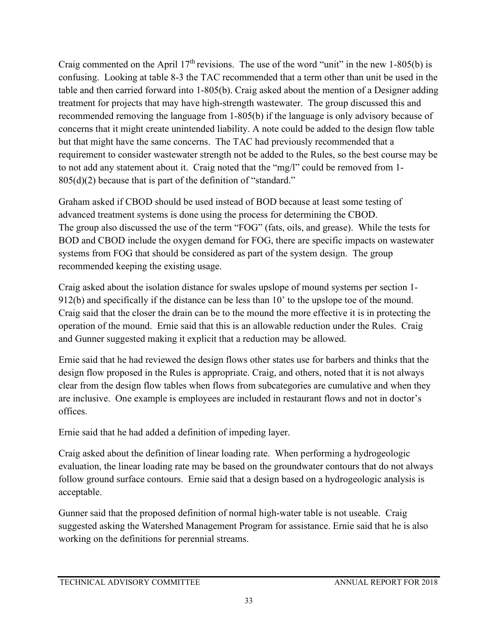Craig commented on the April  $17<sup>th</sup>$  revisions. The use of the word "unit" in the new 1-805(b) is confusing. Looking at table 8-3 the TAC recommended that a term other than unit be used in the table and then carried forward into 1-805(b). Craig asked about the mention of a Designer adding treatment for projects that may have high-strength wastewater. The group discussed this and recommended removing the language from 1-805(b) if the language is only advisory because of concerns that it might create unintended liability. A note could be added to the design flow table but that might have the same concerns. The TAC had previously recommended that a requirement to consider wastewater strength not be added to the Rules, so the best course may be to not add any statement about it. Craig noted that the "mg/l" could be removed from 1- 805(d)(2) because that is part of the definition of "standard."

Graham asked if CBOD should be used instead of BOD because at least some testing of advanced treatment systems is done using the process for determining the CBOD. The group also discussed the use of the term "FOG" (fats, oils, and grease). While the tests for BOD and CBOD include the oxygen demand for FOG, there are specific impacts on wastewater systems from FOG that should be considered as part of the system design. The group recommended keeping the existing usage.

Craig asked about the isolation distance for swales upslope of mound systems per section 1- 912(b) and specifically if the distance can be less than 10' to the upslope toe of the mound. Craig said that the closer the drain can be to the mound the more effective it is in protecting the operation of the mound. Ernie said that this is an allowable reduction under the Rules. Craig and Gunner suggested making it explicit that a reduction may be allowed.

Ernie said that he had reviewed the design flows other states use for barbers and thinks that the design flow proposed in the Rules is appropriate. Craig, and others, noted that it is not always clear from the design flow tables when flows from subcategories are cumulative and when they are inclusive. One example is employees are included in restaurant flows and not in doctor's offices.

Ernie said that he had added a definition of impeding layer.

Craig asked about the definition of linear loading rate. When performing a hydrogeologic evaluation, the linear loading rate may be based on the groundwater contours that do not always follow ground surface contours. Ernie said that a design based on a hydrogeologic analysis is acceptable.

Gunner said that the proposed definition of normal high-water table is not useable. Craig suggested asking the Watershed Management Program for assistance. Ernie said that he is also working on the definitions for perennial streams.